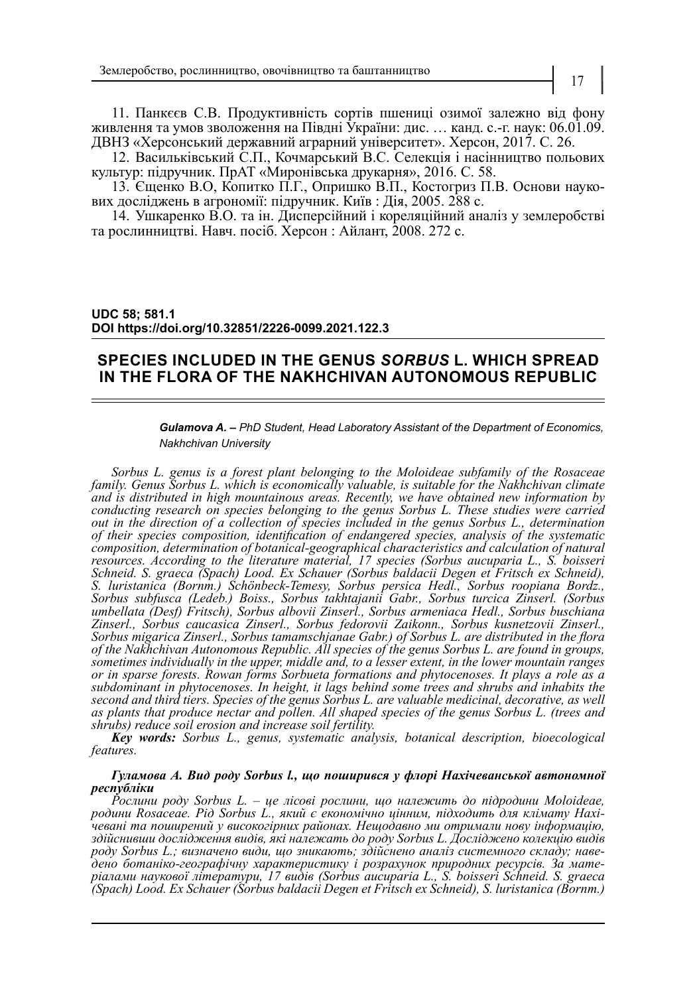11. Панкєєв С.В. Продуктивність сортів пшениці озимої залежно від фону живлення та умов зволоження на Півдні України: дис. … канд. с.-г. наук: 06.01.09. ДВНЗ «Херсонський державний аграрний університет». Херсон, 2017. С. 26.

12. Васильківський С.П., Кочмарський В.С. Селекція і насінництво польових культур: підручник. ПрАТ «Миронівська друкарня», 2016. С. 58.

13. Єщенко В.О, Копитко П.Г., Опришко В.П., Костогриз П.В. Основи наукових досліджень в агрономії: підручник. Київ : Дія, 2005. 288 с.

14. Ушкаренко В.О. та ін. Дисперсійний і кореляційний аналіз у землеробстві та рослинництві. Навч. посіб. Херсон : Айлант, 2008. 272 с.

**UDC 58; 581.1 DOI https://doi.org/10.32851/2226-0099.2021.122.3**

## **SPECIES INCLUDED IN THE GENUS** *SORBUS* **L. WHICH SPREAD IN THE FLORA OF THE NAKHCHIVAN AUTONOMOUS REPUBLIC**

*Gulamova A. – PhD Student, Head Laboratory Assistant of the Department of Economics, Nakhchivan University*

*Sorbus L. genus is a forest plant belonging to the Moloideae subfamily of the Rosaceae family. Genus Sorbus L. which is economically valuable, is suitable for the Nakhchivan climate and is distributed in high mountainous areas. Recently, we have obtained new information by conducting research on species belonging to the genus Sorbus L. These studies were carried out in the direction of a collection of species included in the genus Sorbus L., determination of their species composition, identification of endangered species, analysis of the systematic composition, determination of botanical-geographical characteristics and calculation of natural resources. According to the literature material, 17 species (Sorbus aucuparia L., S. boisseri Schneid. S. graeca (Spach) Lood. Ex Schauer (Sorbus baldacii Degen et Fritsch ex Schneid), S. luristanica (Bornm.) Schönbeck-Temesy, Sorbus persica Hedl., Sorbus roopiana Bordz., Sorbus subfusca (Ledeb.) Boiss., Sorbus takhtajanii Gabr., Sorbus turcica Zinserl. (Sorbus umbellata (Desf) Fritsch), Sorbus albovii Zinserl., Sorbus armeniaca Hedl., Sorbus buschiana Zinserl., Sorbus caucasica Zinserl., Sorbus fedorovii Zaikonn., Sorbus kusnetzovii Zinserl., Sorbus migarica Zinserl., Sorbus tamamschjanae Gabr.) of Sorbus L. are distributed in the flora of the Nakhchivan Autonomous Republic. All species of the genus Sorbus L. are found in groups, sometimes individually in the upper, middle and, to a lesser extent, in the lower mountain ranges or in sparse forests. Rowan forms Sorbueta formations and phytocenoses. It plays a role as a subdominant in phytocenoses. In height, it lags behind some trees and shrubs and inhabits the second and third tiers. Species of the genus Sorbus L. are valuable medicinal, decorative, as well as plants that produce nectar and pollen. All shaped species of the genus Sorbus L. (trees and shrubs) reduce soil erosion and increase soil fertility.*

*Key words: Sorbus L., genus, systematic analysis, botanical description, bioecological features.*

## *Гуламова А. Вид роду Sorbus l., що поширився у флорі Нахічеванської автономної республіки*

*Рослини роду Sorbus L. – це лісові рослини, що належить до підродини Moloideae, родини Rosaceae. Рід Sorbus L., який є економічно цінним, підходить для клімату Нахі- чевані та поширений у високогірних районах. Нещодавно ми отримали нову інформацію, здійснивши дослідження видів, які належать до роду Sorbus L. Досліджено колекцію видів*  дено ботаніко-географічну характеристику і розрахунок природних ресурсів. За мате-<br>ріалами наукової літератури, 17 видів (Sorbus aucuparia L., S. boisseri Schneid. S. graeca *(Spach) Lood. Ex Schauer (Sorbus baldacii Degen et Fritsch ex Schneid), S. luristanica (Bornm.)*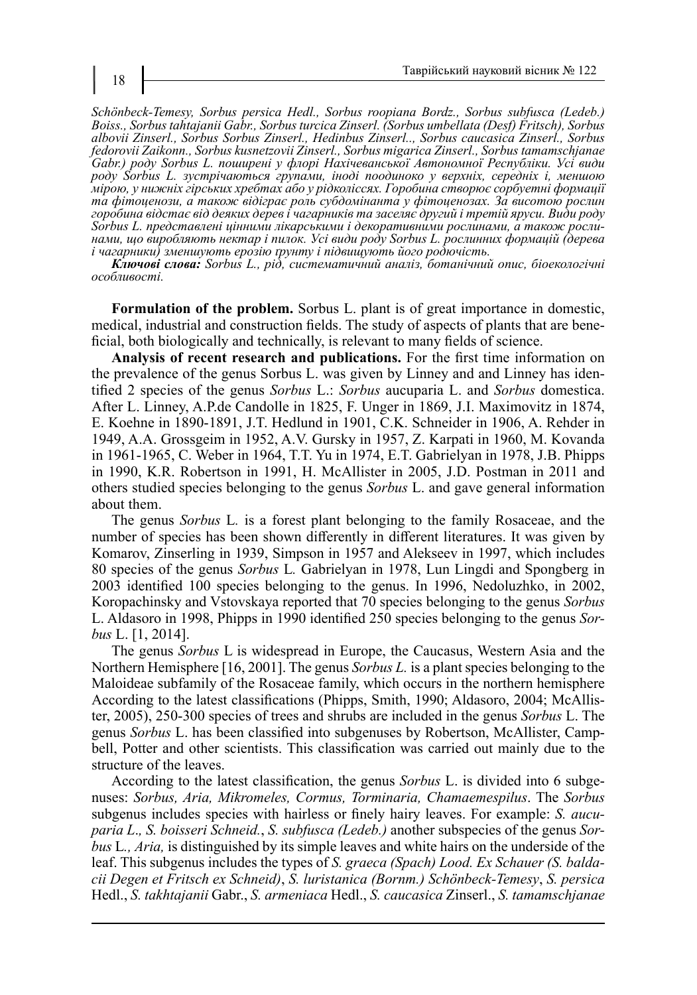*Schönbeck-Temesy, Sorbus persica Hedl., Sorbus roopiana Bordz., Sorbus subfusca (Ledeb.) Boiss., Sorbus tahtajanii Gabr., Sorbus turcica Zinserl. (Sorbus umbellata (Desf) Fritsch), Sorbus albovii Zinserl., Sorbus Sorbus Zinserl., Hedinbus Zinserl.., Sorbus caucasica Zinserl., Sorbus fedorovii Zaikonn., Sorbus kusnetzovii Zinserl., Sorbus migarica Zinserl., Sorbus tamamschjanae Gabr.) роду Sorbus L. поширені у флорі Нахічеванської Автономної Республіки. Усі види роду Sorbus L. зустрічаються групами, іноді поодиноко у верхніх, середніх і, меншою мірою, у нижніх гірських хребтах або у рідколіссях. Горобина створює сорбуетні формації та фітоценози, а також відіграє роль субдомінанта у фітоценозах. За висотою рослин горобина відстає від деяких дерев і чагарників та заселяє другий і третій яруси. Види роду Sorbus L. представлені цінними лікарськими і декоративними рослинами, а також росли- нами, що виробляють нектар і пилок. Усі види роду Sorbus L. рослинних формацій (дерева і чагарники) зменшують ерозію ґрунту і підвищують його родючість.*

*Ключові слова: Sorbus L., рід, систематичний аналіз, ботанічний опис, біоекологічні особливості.*

**Formulation of the problem.** Sorbus L. plant is of great importance in domestic, medical, industrial and construction fields. The study of aspects of plants that are beneficial, both biologically and technically, is relevant to many fields of science.

**Analysis of recent research and publications.** For the first time information on the prevalence of the genus Sorbus L. was given by Linney and and Linney has identified 2 species of the genus *Sorbus* L.: *Sorbus* aucuparia L. and *Sorbus* domestica. After L. Linney, A.P.de Candolle in 1825, F. Unger in 1869, J.I. Maximovitz in 1874, E. Koehne in 1890-1891, J.T. Hedlund in 1901, C.K. Schneider in 1906, A. Rehder in 1949, A.A. Grossgeim in 1952, A.V. Gursky in 1957, Z. Karpati in 1960, M. Kovanda in 1961-1965, C. Weber in 1964, T.T. Yu in 1974, E.T. Gabrielyan in 1978, J.B. Phipps in 1990, K.R. Robertson in 1991, H. McAllister in 2005, J.D. Postman in 2011 and others studied species belonging to the genus *Sorbus* L. and gave general information about them.

The genus *Sorbus* L*.* is a forest plant belonging to the family Rosaceae, and the number of species has been shown differently in different literatures. It was given by Komarov, Zinserling in 1939, Simpson in 1957 and Alekseev in 1997, which includes 80 species of the genus *Sorbus* L*.* Gabrielyan in 1978, Lun Lingdi and Spongberg in 2003 identified 100 species belonging to the genus. In 1996, Nedoluzhko, in 2002, Koropachinsky and Vstovskaya reported that 70 species belonging to the genus *Sorbus* L. Aldasoro in 1998, Phipps in 1990 identified 250 species belonging to the genus *Sorbus* L. [1, 2014].

The genus *Sorbus* L is widespread in Europe, the Caucasus, Western Asia and the Northern Hemisphere [16, 2001]. The genus *Sorbus L.* is a plant species belonging to the Maloideae subfamily of the Rosaceae family, which occurs in the northern hemisphere According to the latest classifications (Phipps, Smith, 1990; Aldasoro, 2004; McAllister, 2005), 250-300 species of trees and shrubs are included in the genus *Sorbus* L. The genus *Sorbus* L. has been classified into subgenuses by Robertson, McAllister, Campbell, Potter and other scientists. This classification was carried out mainly due to the structure of the leaves.

According to the latest classification, the genus *Sorbus* L. is divided into 6 subgenuses: *Sorbus, Aria, Mikromeles, Cormus, Torminaria, Chamaemespilus*. The *Sorbus* subgenus includes species with hairless or finely hairy leaves. For example: *S. aucuparia L*.*, S. boisseri Schneid.*, *S. subfusca (Ledeb.)* another subspecies of the genus *Sorbus* L*., Aria,* is distinguished by its simple leaves and white hairs on the underside of the leaf. This subgenus includes the types of *S. graeca (Spach) Lood. Ex Schauer (S. baldacii Degen et Fritsch ex Schneid)*, *S. luristanica (Bornm.) Schönbeck-Temesy*, *S. persica*  Hedl., *S. takhtajanii* Gabr., *S. armeniaca* Hedl., *S. caucasica* Zinserl., *S. tamamschjanae*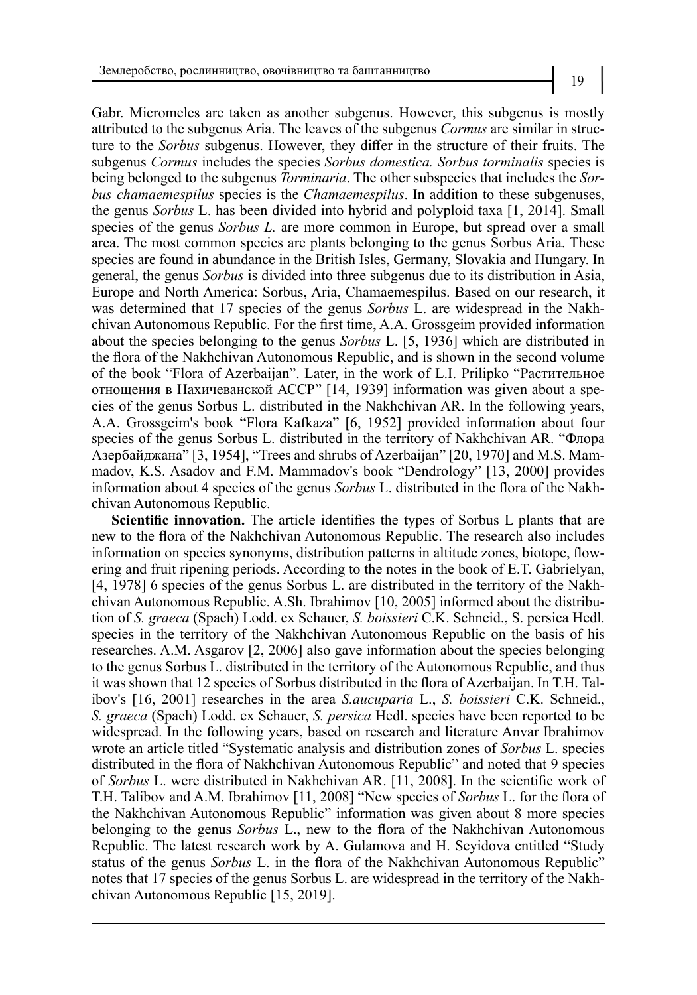Gabr. Micromeles are taken as another subgenus. However, this subgenus is mostly attributed to the subgenus Aria. The leaves of the subgenus *Cormus* are similar in structure to the *Sorbus* subgenus. However, they differ in the structure of their fruits. The subgenus *Cormus* includes the species *Sorbus domestica. Sorbus torminalis* species is being belonged to the subgenus *Torminaria*. The other subspecies that includes the *Sorbus chamaemespilus* species is the *Chamaemespilus*. In addition to these subgenuses, the genus *Sorbus* L. has been divided into hybrid and polyploid taxa [1, 2014]. Small species of the genus *Sorbus L.* are more common in Europe, but spread over a small area. The most common species are plants belonging to the genus Sorbus Aria. These species are found in abundance in the British Isles, Germany, Slovakia and Hungary. In general, the genus *Sorbus* is divided into three subgenus due to its distribution in Asia, Europe and North America: Sorbus, Aria, Chamaemespilus. Based on our research, it was determined that 17 species of the genus *Sorbus* L. are widespread in the Nakhchivan Autonomous Republic. For the first time, A.A. Grossgeim provided information about the species belonging to the genus *Sorbus* L. [5, 1936] which are distributed in the flora of the Nakhchivan Autonomous Republic, and is shown in the second volume of the book "Flora of Azerbaijan". Later, in the work of L.I. Prilipko "Растительное отнощения в Нахичеванской АССР" [14, 1939] information was given about a species of the genus Sorbus L. distributed in the Nakhchivan AR. In the following years, A.A. Grossgeim's book "Flora Kafkaza" [6, 1952] provided information about four species of the genus Sorbus L. distributed in the territory of Nakhchivan AR. "Флора Азербайджана" [3, 1954], "Trees and shrubs of Azerbaijan" [20, 1970] and M.S. Mammadov, K.S. Asadov and F.M. Mammadov's book "Dendrology" [13, 2000] provides information about 4 species of the genus *Sorbus* L. distributed in the flora of the Nakhchivan Autonomous Republic.

**Scientific innovation.** The article identifies the types of Sorbus L plants that are new to the flora of the Nakhchivan Autonomous Republic. The research also includes information on species synonyms, distribution patterns in altitude zones, biotope, flowering and fruit ripening periods. According to the notes in the book of E.T. Gabrielyan, [4, 1978] 6 species of the genus Sorbus L. are distributed in the territory of the Nakhchivan Autonomous Republic. A.Sh. Ibrahimov [10, 2005] informed about the distribution of *S. graeca* (Spach) Lodd. ex Schauer, *S. boissieri* C.K. Schneid., S. persica Hedl. species in the territory of the Nakhchivan Autonomous Republic on the basis of his researches. A.M. Asgarov [2, 2006] also gave information about the species belonging to the genus Sorbus L. distributed in the territory of the Autonomous Republic, and thus it was shown that 12 species of Sorbus distributed in the flora of Azerbaijan. In T.H. Talibov's [16, 2001] researches in the area *S.aucuparia* L., *S. boissieri* C.K. Schneid., *S. graeca* (Spach) Lodd. ex Schauer, *S. persica* Hedl. species have been reported to be widespread. In the following years, based on research and literature Anvar Ibrahimov wrote an article titled "Systematic analysis and distribution zones of *Sorbus* L. species distributed in the flora of Nakhchivan Autonomous Republic" and noted that 9 species of *Sorbus* L. were distributed in Nakhchivan AR. [11, 2008]. In the scientific work of T.H. Talibov and A.M. Ibrahimov [11, 2008] "New species of *Sorbus* L. for the flora of the Nakhchivan Autonomous Republic" information was given about 8 more species belonging to the genus *Sorbus* L., new to the flora of the Nakhchivan Autonomous Republic. The latest research work by A. Gulamova and H. Seyidova entitled "Study status of the genus *Sorbus* L. in the flora of the Nakhchivan Autonomous Republic" notes that 17 species of the genus Sorbus L. are widespread in the territory of the Nakhchivan Autonomous Republic [15, 2019].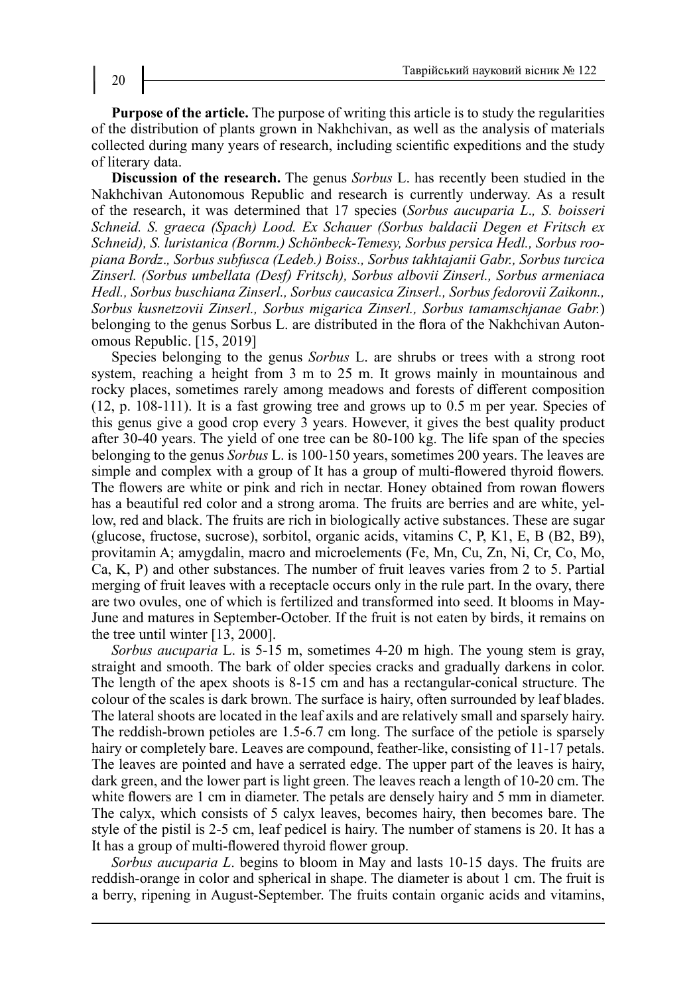**Purpose of the article.** The purpose of writing this article is to study the regularities of the distribution of plants grown in Nakhchivan, as well as the analysis of materials collected during many years of research, including scientific expeditions and the study of literary data.

**Discussion of the research.** The genus *Sorbus* L. has recently been studied in the Nakhchivan Autonomous Republic and research is currently underway. As a result of the research, it was determined that 17 species (*Sorbus aucuparia L*.*, S. boisseri Schneid. S. graeca (Spach) Lood. Ex Schauer (Sorbus baldacii Degen et Fritsch ex Schneid), S. luristanica (Bornm.) Schönbeck-Temesy, Sorbus persica Hedl., Sorbus roopiana Bordz*.*, Sorbus subfusca (Ledeb.) Boiss., Sorbus takhtajanii Gabr., Sorbus turcica Zinserl. (Sorbus umbellata (Desf) Fritsch), Sorbus albovii Zinserl., Sorbus armeniaca Hedl., Sorbus buschiana Zinserl., Sorbus caucasica Zinserl., Sorbus fedorovii Zaikonn., Sorbus kusnetzovii Zinserl., Sorbus migarica Zinserl., Sorbus tamamschjanae Gabr.*) belonging to the genus Sorbus L. are distributed in the flora of the Nakhchivan Autonomous Republic. [15, 2019]

Species belonging to the genus *Sorbus* L. are shrubs or trees with a strong root system, reaching a height from 3 m to 25 m. It grows mainly in mountainous and rocky places, sometimes rarely among meadows and forests of different composition (12, p. 108-111). It is a fast growing tree and grows up to 0.5 m per year. Species of this genus give a good crop every 3 years. However, it gives the best quality product after 30-40 years. The yield of one tree can be 80-100 kg. The life span of the species belonging to the genus *Sorbus* L. is 100-150 years, sometimes 200 years. The leaves are simple and complex with a group of It has a group of multi-flowered thyroid flowers*.*  The flowers are white or pink and rich in nectar. Honey obtained from rowan flowers has a beautiful red color and a strong aroma. The fruits are berries and are white, yellow, red and black. The fruits are rich in biologically active substances. These are sugar (glucose, fructose, sucrose), sorbitol, organic acids, vitamins C, P, K1, E, B (B2, B9), provitamin A; amygdalin, macro and microelements (Fe, Mn, Cu, Zn, Ni, Cr, Co, Mo, Ca, K, P) and other substances. The number of fruit leaves varies from 2 to 5. Partial merging of fruit leaves with a receptacle occurs only in the rule part. In the ovary, there are two ovules, one of which is fertilized and transformed into seed. It blooms in May-June and matures in September-October. If the fruit is not eaten by birds, it remains on the tree until winter [13, 2000].

*Sorbus aucuparia* L. is 5-15 m, sometimes 4-20 m high. The young stem is gray, straight and smooth. The bark of older species cracks and gradually darkens in color. The length of the apex shoots is 8-15 cm and has a rectangular-conical structure. The colour of the scales is dark brown. The surface is hairy, often surrounded by leaf blades. The lateral shoots are located in the leaf axils and are relatively small and sparsely hairy. The reddish-brown petioles are 1.5-6.7 cm long. The surface of the petiole is sparsely hairy or completely bare. Leaves are compound, feather-like, consisting of 11-17 petals. The leaves are pointed and have a serrated edge. The upper part of the leaves is hairy, dark green, and the lower part is light green. The leaves reach a length of 10-20 cm. The white flowers are 1 cm in diameter. The petals are densely hairy and 5 mm in diameter. The calyx, which consists of 5 calyx leaves, becomes hairy, then becomes bare. The style of the pistil is 2-5 cm, leaf pedicel is hairy. The number of stamens is 20. It has a It has a group of multi-flowered thyroid flower group.

*Sorbus aucuparia L*. begins to bloom in May and lasts 10-15 days. The fruits are reddish-orange in color and spherical in shape. The diameter is about 1 cm. The fruit is a berry, ripening in August-September. The fruits contain organic acids and vitamins,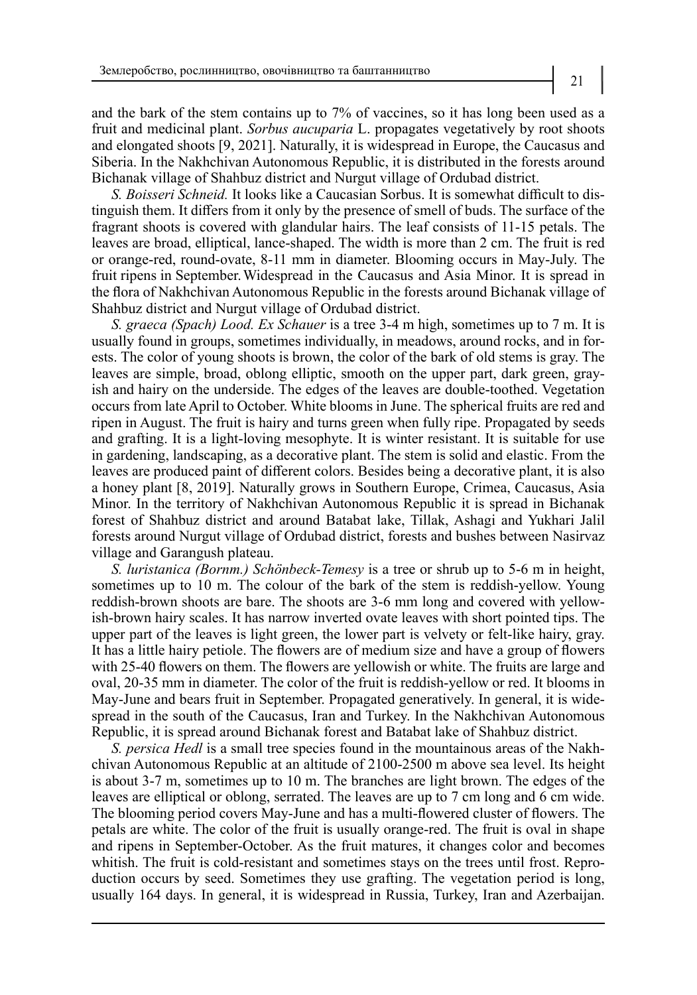and the bark of the stem contains up to 7% of vaccines, so it has long been used as a fruit and medicinal plant. *Sorbus aucuparia* L. propagates vegetatively by root shoots and elongated shoots [9, 2021]. Naturally, it is widespread in Europe, the Caucasus and Siberia. In the Nakhchivan Autonomous Republic, it is distributed in the forests around Bichanak village of Shahbuz district and Nurgut village of Ordubad district.

*S. Boisseri Schneid.* It looks like a Caucasian Sorbus. It is somewhat difficult to distinguish them. It differs from it only by the presence of smell of buds. The surface of the fragrant shoots is covered with glandular hairs. The leaf consists of 11-15 petals. The leaves are broad, elliptical, lance-shaped. The width is more than 2 cm. The fruit is red or orange-red, round-ovate, 8-11 mm in diameter. Blooming occurs in May-July. The fruit ripens in September.Widespread in the Caucasus and Asia Minor. It is spread in the flora of Nakhchivan Autonomous Republic in the forests around Bichanak village of Shahbuz district and Nurgut village of Ordubad district.

*S. graeca (Spach) Lood. Ex Schauer* is a tree 3-4 m high, sometimes up to 7 m. It is usually found in groups, sometimes individually, in meadows, around rocks, and in forests. The color of young shoots is brown, the color of the bark of old stems is gray. The leaves are simple, broad, oblong elliptic, smooth on the upper part, dark green, grayish and hairy on the underside. The edges of the leaves are double-toothed. Vegetation occurs from late April to October. White blooms in June. The spherical fruits are red and ripen in August. The fruit is hairy and turns green when fully ripe. Propagated by seeds and grafting. It is a light-loving mesophyte. It is winter resistant. It is suitable for use in gardening, landscaping, as a decorative plant. The stem is solid and elastic. From the leaves are produced paint of different colors. Besides being a decorative plant, it is also a honey plant [8, 2019]. Naturally grows in Southern Europe, Crimea, Caucasus, Asia Minor. In the territory of Nakhchivan Autonomous Republic it is spread in Bichanak forest of Shahbuz district and around Batabat lake, Tillak, Ashagi and Yukhari Jalil forests around Nurgut village of Ordubad district, forests and bushes between Nasirvaz village and Garangush plateau.

*S. luristanica (Bornm.) Schönbeck-Temesy* is a tree or shrub up to 5-6 m in height, sometimes up to 10 m. The colour of the bark of the stem is reddish-yellow. Young reddish-brown shoots are bare. The shoots are 3-6 mm long and covered with yellowish-brown hairy scales. It has narrow inverted ovate leaves with short pointed tips. The upper part of the leaves is light green, the lower part is velvety or felt-like hairy, gray. It has a little hairy petiole. The flowers are of medium size and have a group of flowers with 25-40 flowers on them. The flowers are yellowish or white. The fruits are large and oval, 20-35 mm in diameter. The color of the fruit is reddish-yellow or red. It blooms in May-June and bears fruit in September. Propagated generatively. In general, it is widespread in the south of the Caucasus, Iran and Turkey. In the Nakhchivan Autonomous Republic, it is spread around Bichanak forest and Batabat lake of Shahbuz district.

*S. persica Hedl* is a small tree species found in the mountainous areas of the Nakhchivan Autonomous Republic at an altitude of 2100-2500 m above sea level. Its height is about 3-7 m, sometimes up to 10 m. The branches are light brown. The edges of the leaves are elliptical or oblong, serrated. The leaves are up to 7 cm long and 6 cm wide. The blooming period covers May-June and has a multi-flowered cluster of flowers. The petals are white. The color of the fruit is usually orange-red. The fruit is oval in shape and ripens in September-October. As the fruit matures, it changes color and becomes whitish. The fruit is cold-resistant and sometimes stays on the trees until frost. Reproduction occurs by seed. Sometimes they use grafting. The vegetation period is long, usually 164 days. In general, it is widespread in Russia, Turkey, Iran and Azerbaijan.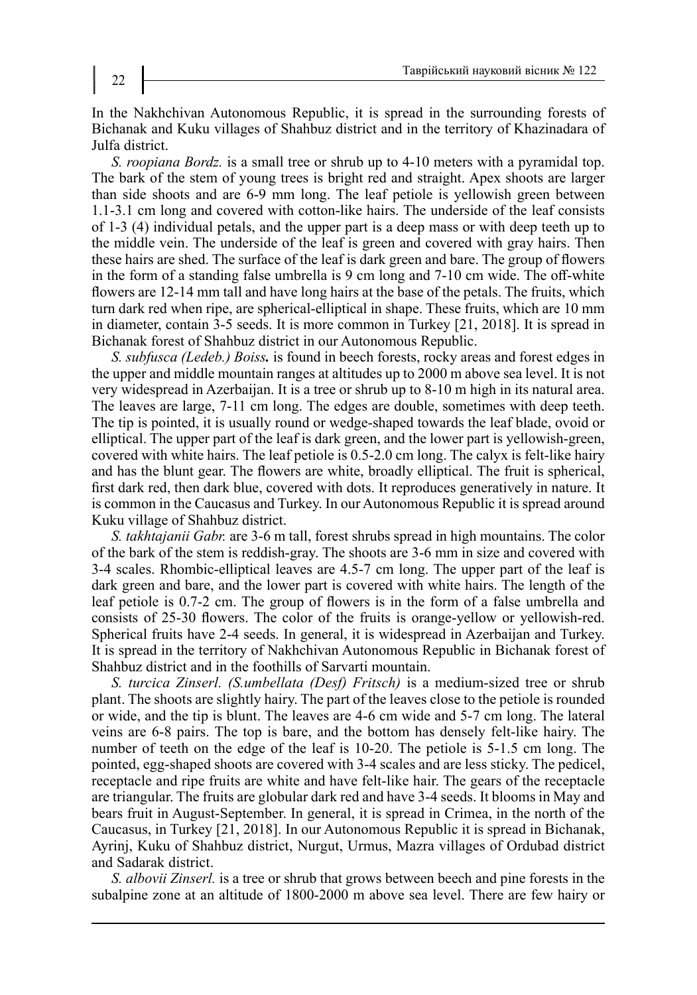In the Nakhchivan Autonomous Republic, it is spread in the surrounding forests of Bichanak and Kuku villages of Shahbuz district and in the territory of Khazinadara of Julfa district.

*S. roopiana Bordz.* is a small tree or shrub up to 4-10 meters with a pyramidal top. The bark of the stem of young trees is bright red and straight. Apex shoots are larger than side shoots and are 6-9 mm long. The leaf petiole is yellowish green between 1.1-3.1 cm long and covered with cotton-like hairs. The underside of the leaf consists of 1-3 (4) individual petals, and the upper part is a deep mass or with deep teeth up to the middle vein. The underside of the leaf is green and covered with gray hairs. Then these hairs are shed. The surface of the leaf is dark green and bare. The group of flowers in the form of a standing false umbrella is 9 cm long and 7-10 cm wide. The off-white flowers are 12-14 mm tall and have long hairs at the base of the petals. The fruits, which turn dark red when ripe, are spherical-elliptical in shape. These fruits, which are 10 mm in diameter, contain 3-5 seeds. It is more common in Turkey [21, 2018]. It is spread in Bichanak forest of Shahbuz district in our Autonomous Republic.

*S. subfusca (Ledeb.) Boiss.* is found in beech forests, rocky areas and forest edges in the upper and middle mountain ranges at altitudes up to 2000 m above sea level. It is not very widespread in Azerbaijan. It is a tree or shrub up to 8-10 m high in its natural area. The leaves are large, 7-11 cm long. The edges are double, sometimes with deep teeth. The tip is pointed, it is usually round or wedge-shaped towards the leaf blade, ovoid or elliptical. The upper part of the leaf is dark green, and the lower part is yellowish-green, covered with white hairs. The leaf petiole is 0.5-2.0 cm long. The calyx is felt-like hairy and has the blunt gear. The flowers are white, broadly elliptical. The fruit is spherical, first dark red, then dark blue, covered with dots. It reproduces generatively in nature. It is common in the Caucasus and Turkey. In our Autonomous Republic it is spread around Kuku village of Shahbuz district.

*S. takhtajanii Gabr.* are 3-6 m tall, forest shrubs spread in high mountains. The color of the bark of the stem is reddish-gray. The shoots are 3-6 mm in size and covered with 3-4 scales. Rhombic-elliptical leaves are 4.5-7 cm long. The upper part of the leaf is dark green and bare, and the lower part is covered with white hairs. The length of the leaf petiole is 0.7-2 cm. The group of flowers is in the form of a false umbrella and consists of 25-30 flowers. The color of the fruits is orange-yellow or yellowish-red. Spherical fruits have 2-4 seeds. In general, it is widespread in Azerbaijan and Turkey. It is spread in the territory of Nakhchivan Autonomous Republic in Bichanak forest of Shahbuz district and in the foothills of Sarvarti mountain.

*S. turcica Zinserl. (S.umbellata (Desf) Fritsch)* is a medium-sized tree or shrub plant. The shoots are slightly hairy. The part of the leaves close to the petiole is rounded or wide, and the tip is blunt. The leaves are 4-6 cm wide and 5-7 cm long. The lateral veins are 6-8 pairs. The top is bare, and the bottom has densely felt-like hairy. The number of teeth on the edge of the leaf is 10-20. The petiole is 5-1.5 cm long. The pointed, egg-shaped shoots are covered with 3-4 scales and are less sticky. The pedicel, receptacle and ripe fruits are white and have felt-like hair. The gears of the receptacle are triangular. The fruits are globular dark red and have 3-4 seeds. It blooms in May and bears fruit in August-September. In general, it is spread in Crimea, in the north of the Caucasus, in Turkey [21, 2018]. In our Autonomous Republic it is spread in Bichanak, Ayrinj, Kuku of Shahbuz district, Nurgut, Urmus, Mazra villages of Ordubad district and Sadarak district.

*S. albovii Zinserl.* is a tree or shrub that grows between beech and pine forests in the subalpine zone at an altitude of 1800-2000 m above sea level. There are few hairy or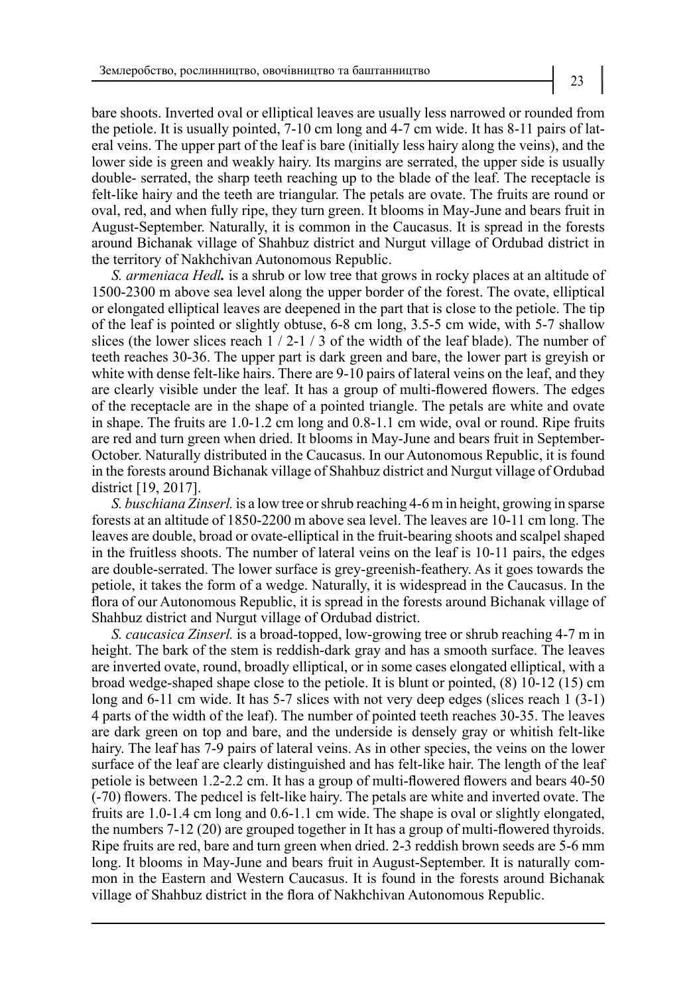bare shoots. Inverted oval or elliptical leaves are usually less narrowed or rounded from the petiole. It is usually pointed, 7-10 cm long and 4-7 cm wide. It has 8-11 pairs of lateral veins. The upper part of the leaf is bare (initially less hairy along the veins), and the lower side is green and weakly hairy. Its margins are serrated, the upper side is usually double- serrated, the sharp teeth reaching up to the blade of the leaf. The receptacle is felt-like hairy and the teeth are triangular. The petals are ovate. The fruits are round or oval, red, and when fully ripe, they turn green. It blooms in May-June and bears fruit in August-September. Naturally, it is common in the Caucasus. It is spread in the forests around Bichanak village of Shahbuz district and Nurgut village of Ordubad district in the territory of Nakhchivan Autonomous Republic.

*S. armeniaca Hedl.* is a shrub or low tree that grows in rocky places at an altitude of 1500-2300 m above sea level along the upper border of the forest. The ovate, elliptical or elongated elliptical leaves are deepened in the part that is close to the petiole. The tip of the leaf is pointed or slightly obtuse, 6-8 cm long, 3.5-5 cm wide, with 5-7 shallow slices (the lower slices reach  $1/2$ - $1/3$  of the width of the leaf blade). The number of teeth reaches 30-36. The upper part is dark green and bare, the lower part is greyish or white with dense felt-like hairs. There are 9-10 pairs of lateral veins on the leaf, and they are clearly visible under the leaf. It has a group of multi-flowered flowers. The edges of the receptacle are in the shape of a pointed triangle. The petals are white and ovate in shape. The fruits are 1.0-1.2 cm long and 0.8-1.1 cm wide, oval or round. Ripe fruits are red and turn green when dried. It blooms in May-June and bears fruit in September-October. Naturally distributed in the Caucasus. In our Autonomous Republic, it is found in the forests around Bichanak village of Shahbuz district and Nurgut village of Ordubad district [19, 2017].

*S. buschiana Zinserl.* is a low tree or shrub reaching 4-6 m in height, growing in sparse forests at an altitude of 1850-2200 m above sea level. The leaves are 10-11 cm long. The leaves are double, broad or ovate-elliptical in the fruit-bearing shoots and scalpel shaped in the fruitless shoots. The number of lateral veins on the leaf is 10-11 pairs, the edges are double-serrated. The lower surface is grey-greenish-feathery. As it goes towards the petiole, it takes the form of a wedge. Naturally, it is widespread in the Caucasus. In the flora of our Autonomous Republic, it is spread in the forests around Bichanak village of Shahbuz district and Nurgut village of Ordubad district.

*S. caucasica Zinserl.* is a broad-topped, low-growing tree or shrub reaching 4-7 m in height. The bark of the stem is reddish-dark gray and has a smooth surface. The leaves are inverted ovate, round, broadly elliptical, or in some cases elongated elliptical, with a broad wedge-shaped shape close to the petiole. It is blunt or pointed, (8) 10-12 (15) cm long and 6-11 cm wide. It has 5-7 slices with not very deep edges (slices reach 1 (3-1) 4 parts of the width of the leaf). The number of pointed teeth reaches 30-35. The leaves are dark green on top and bare, and the underside is densely gray or whitish felt-like hairy. The leaf has 7-9 pairs of lateral veins. As in other species, the veins on the lower surface of the leaf are clearly distinguished and has felt-like hair. The length of the leaf petiole is between 1.2-2.2 cm. It has a group of multi-flowered flowers and bears 40-50 (-70) flowers. The pedıcel is felt-like hairy. The petals are white and inverted ovate. The fruits are 1.0-1.4 cm long and 0.6-1.1 cm wide. The shape is oval or slightly elongated, the numbers 7-12 (20) are grouped together in It has a group of multi-flowered thyroids. Ripe fruits are red, bare and turn green when dried. 2-3 reddish brown seeds are 5-6 mm long. It blooms in May-June and bears fruit in August-September. It is naturally common in the Eastern and Western Caucasus. It is found in the forests around Bichanak village of Shahbuz district in the flora of Nakhchivan Autonomous Republic.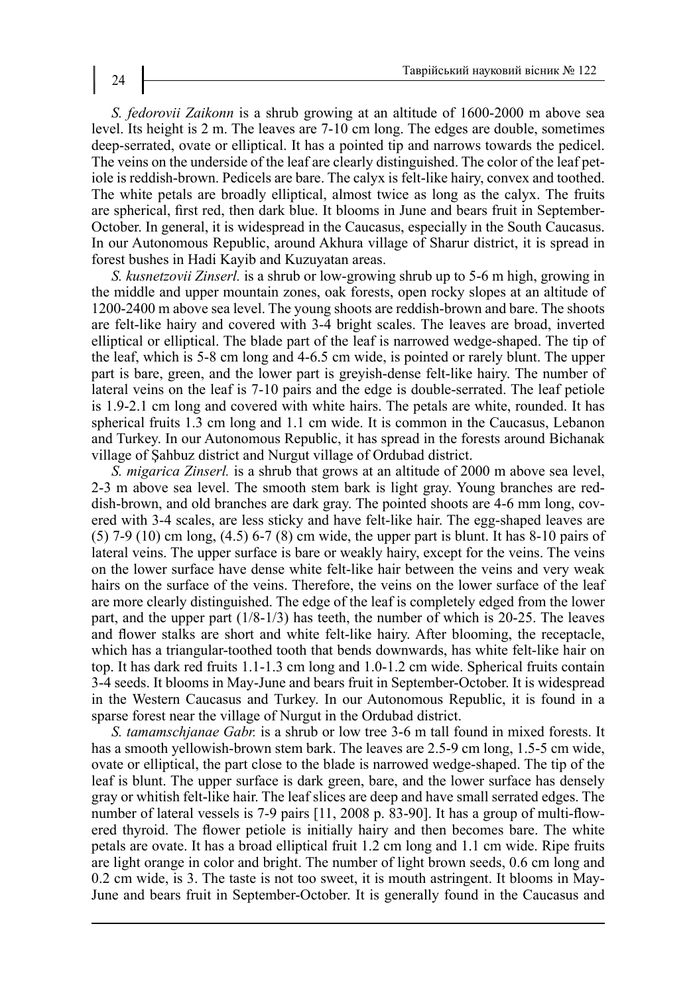*S. fedorovii Zaikonn* is a shrub growing at an altitude of 1600-2000 m above sea level. Its height is 2 m. The leaves are 7-10 cm long. The edges are double, sometimes deep-serrated, ovate or elliptical. It has a pointed tip and narrows towards the pedicel. The veins on the underside of the leaf are clearly distinguished. The color of the leaf petiole is reddish-brown. Pedicels are bare. The calyx is felt-like hairy, convex and toothed. The white petals are broadly elliptical, almost twice as long as the calyx. The fruits are spherical, first red, then dark blue. It blooms in June and bears fruit in September-October. In general, it is widespread in the Caucasus, especially in the South Caucasus. In our Autonomous Republic, around Akhura village of Sharur district, it is spread in forest bushes in Hadi Kayib and Kuzuyatan areas.

*S. kusnetzovii Zinserl.* is a shrub or low-growing shrub up to 5-6 m high, growing in the middle and upper mountain zones, oak forests, open rocky slopes at an altitude of 1200-2400 m above sea level. The young shoots are reddish-brown and bare. The shoots are felt-like hairy and covered with 3-4 bright scales. The leaves are broad, inverted elliptical or elliptical. The blade part of the leaf is narrowed wedge-shaped. The tip of the leaf, which is 5-8 cm long and 4-6.5 cm wide, is pointed or rarely blunt. The upper part is bare, green, and the lower part is greyish-dense felt-like hairy. The number of lateral veins on the leaf is 7-10 pairs and the edge is double-serrated. The leaf petiole is 1.9-2.1 cm long and covered with white hairs. The petals are white, rounded. It has spherical fruits 1.3 cm long and 1.1 cm wide. It is common in the Caucasus, Lebanon and Turkey. In our Autonomous Republic, it has spread in the forests around Bichanak village of Şahbuz district and Nurgut village of Ordubad district.

*S. migarica Zinserl.* is a shrub that grows at an altitude of 2000 m above sea level, 2-3 m above sea level. The smooth stem bark is light gray. Young branches are reddish-brown, and old branches are dark gray. The pointed shoots are 4-6 mm long, covered with 3-4 scales, are less sticky and have felt-like hair. The egg-shaped leaves are (5) 7-9 (10) cm long, (4.5) 6-7 (8) cm wide, the upper part is blunt. It has 8-10 pairs of lateral veins. The upper surface is bare or weakly hairy, except for the veins. The veins on the lower surface have dense white felt-like hair between the veins and very weak hairs on the surface of the veins. Therefore, the veins on the lower surface of the leaf are more clearly distinguished. The edge of the leaf is completely edged from the lower part, and the upper part (1/8-1/3) has teeth, the number of which is 20-25. The leaves and flower stalks are short and white felt-like hairy. After blooming, the receptacle, which has a triangular-toothed tooth that bends downwards, has white felt-like hair on top. It has dark red fruits 1.1-1.3 cm long and 1.0-1.2 cm wide. Spherical fruits contain 3-4 seeds. It blooms in May-June and bears fruit in September-October. It is widespread in the Western Caucasus and Turkey. In our Autonomous Republic, it is found in a sparse forest near the village of Nurgut in the Ordubad district.

*S. tamamschjanae Gabr.* is a shrub or low tree 3-6 m tall found in mixed forests. It has a smooth yellowish-brown stem bark. The leaves are 2.5-9 cm long, 1.5-5 cm wide, ovate or elliptical, the part close to the blade is narrowed wedge-shaped. The tip of the leaf is blunt. The upper surface is dark green, bare, and the lower surface has densely gray or whitish felt-like hair. The leaf slices are deep and have small serrated edges. The number of lateral vessels is 7-9 pairs [11, 2008 p. 83-90]. It has a group of multi-flowered thyroid. The flower petiole is initially hairy and then becomes bare. The white petals are ovate. It has a broad elliptical fruit 1.2 cm long and 1.1 cm wide. Ripe fruits are light orange in color and bright. The number of light brown seeds, 0.6 cm long and 0.2 cm wide, is 3. The taste is not too sweet, it is mouth astringent. It blooms in May-June and bears fruit in September-October. It is generally found in the Caucasus and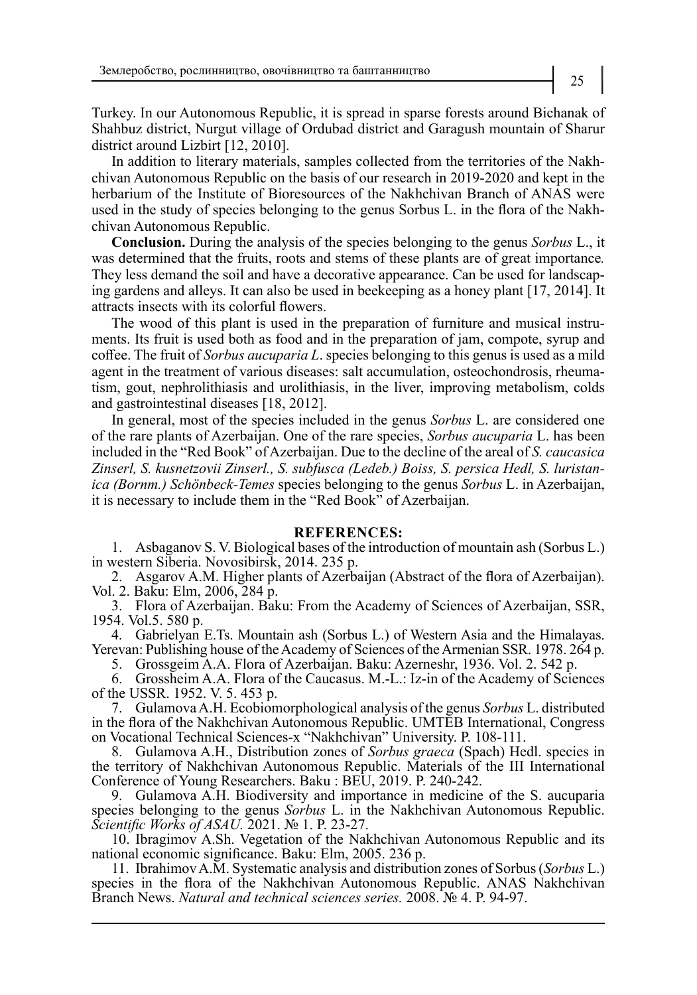Turkey. In our Autonomous Republic, it is spread in sparse forests around Bichanak of Shahbuz district, Nurgut village of Ordubad district and Garagush mountain of Sharur district around Lizbirt [12, 2010].

In addition to literary materials, samples collected from the territories of the Nakhchivan Autonomous Republic on the basis of our research in 2019-2020 and kept in the herbarium of the Institute of Bioresources of the Nakhchivan Branch of ANAS were used in the study of species belonging to the genus Sorbus L. in the flora of the Nakhchivan Autonomous Republic.

**Conclusion.** During the analysis of the species belonging to the genus *Sorbus* L., it was determined that the fruits, roots and stems of these plants are of great importance*.*  They less demand the soil and have a decorative appearance. Can be used for landscaping gardens and alleys. It can also be used in beekeeping as a honey plant [17, 2014]. It attracts insects with its colorful flowers.

The wood of this plant is used in the preparation of furniture and musical instruments. Its fruit is used both as food and in the preparation of jam, compote, syrup and coffee. The fruit of *Sorbus aucuparia L*. species belonging to this genus is used as a mild agent in the treatment of various diseases: salt accumulation, osteochondrosis, rheumatism, gout, nephrolithiasis and urolithiasis, in the liver, improving metabolism, colds and gastrointestinal diseases [18, 2012].

In general, most of the species included in the genus *Sorbus* L. are considered one of the rare plants of Azerbaijan. One of the rare species, *Sorbus aucuparia* L. has been included in the "Red Book" of Azerbaijan. Due to the decline of the areal of *S. caucasica Zinserl, S. kusnetzovii Zinserl., S. subfusca (Ledeb.) Boiss, S. persica Hedl, S. luristanica (Bornm.) Schönbeck-Temes* species belonging to the genus *Sorbus* L. in Azerbaijan, it is necessary to include them in the "Red Book" of Azerbaijan.

## **REFERENCES:**

1. Asbaganov S. V. Biological bases of the introduction of mountain ash (Sorbus L.) in western Siberia. Novosibirsk, 2014. 235 р.

2. Asgarov A.M. Higher plants of Azerbaijan (Abstract of the flora of Azerbaijan). Vol. 2. Baku: Elm, 2006, 284 p.

3. Flora of Azerbaijan. Baku: From the Academy of Sciences of Azerbaijan, SSR, 1954. Vol.5. 580 p.

4. Gabrielyan E.Ts. Mountain ash (Sorbus L.) of Western Asia and the Himalayas. Yerevan: Publishing house of the Academy of Sciences of the Armenian SSR. 1978. 264 p.

5. Grossgeim A.A. Flora of Azerbaijan. Baku: Azerneshr, 1936. Vol. 2. 542 p.

6. Grossheim A.A. Flora of the Caucasus. M.-L.: Iz-in of the Academy of Sciences of the USSR. 1952. V. 5. 453 p.

7. Gulamova A.H. Ecobiomorphological analysis of the genus *Sorbus* L. distributed in the flora of the Nakhchivan Autonomous Republic. UMTEB International, Congress on Vocational Technical Sciences-x "Nakhchivan" University. P. 108-111.

8. Gulamova A.H., Distribution zones of *Sorbus graeca* (Spach) Hedl. species in the territory of Nakhchivan Autonomous Republic. Materials of the III International Conference of Young Researchers. Baku : BEU, 2019. P. 240-242.

9. Gulamova A.H. Biodiversity and importance in medicine of the S. aucuparia species belonging to the genus *Sorbus* L. in the Nakhchivan Autonomous Republic. *Scientific Works of ASAU.* 2021. № 1. P. 23-27.

10. Ibragimov A.Sh. Vegetation of the Nakhchivan Autonomous Republic and its national economic significance. Baku: Elm, 2005. 236 p.

11. Ibrahimov A.M. Systematic analysis and distribution zones of Sorbus (*Sorbus* L.) species in the flora of the Nakhchivan Autonomous Republic. ANAS Nakhchivan Branch News. *Natural and technical sciences series.* 2008. № 4. P. 94-97.